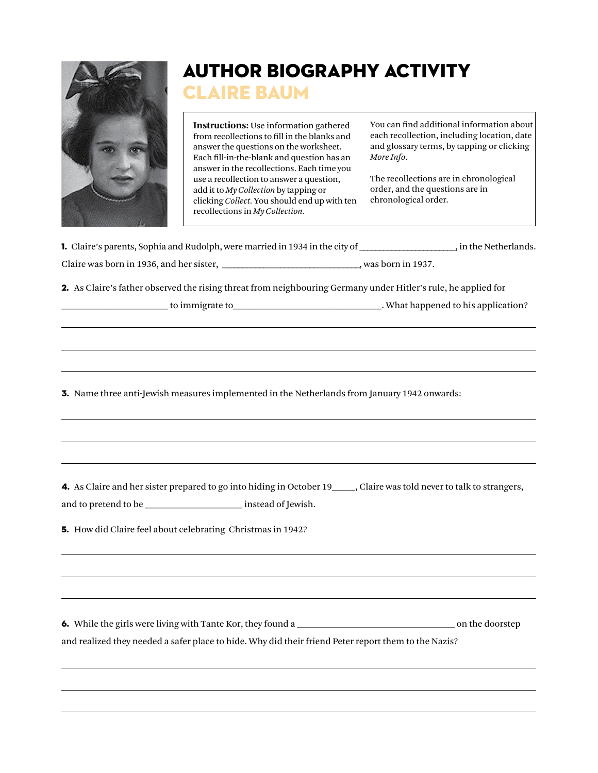

## Author Biography Activity

## LAIRE BAUM

**Instructions:** Use information gathered from recollections to fill in the blanks and answer the questions on the worksheet. Each fill-in-the-blank and question has an answer in the recollections. Each time you use a recollection to answer a question, add it to *My Collection* by tapping or clicking *Collect.* You should end up with ten recollections in *My Collection.*

You can find additional information about each recollection, including location, date and glossary terms, by tapping or clicking *More Info*.

The recollections are in chronological order, and the questions are in chronological order.

| 1. Claire's parents, Sophia and Rudolph, were married in 1934 in the city of | . in the Netherlands. |
|------------------------------------------------------------------------------|-----------------------|
|                                                                              |                       |

| Claire was born in 1936, and her sister. | was born in 1937. |
|------------------------------------------|-------------------|
|------------------------------------------|-------------------|

2. As Claire's father observed the rising threat from neighbouring Germany under Hitler's rule, he applied for

\_\_\_\_\_\_\_\_\_\_\_\_\_\_\_\_\_\_\_\_\_\_\_ to immigrate to\_\_\_\_\_\_\_\_\_\_\_\_\_\_\_\_\_\_\_\_\_\_\_\_\_\_\_\_\_\_\_\_. What happened to his application?

3. Name three anti-Jewish measures implemented in the Netherlands from January 1942 onwards:

4. As Claire and her sister prepared to go into hiding in October 19 \_\_\_\_, Claire was told never to talk to strangers, and to pretend to be \_\_\_\_\_\_\_\_\_\_\_\_\_\_\_\_\_\_\_\_\_ instead of Jewish.

5. How did Claire feel about celebrating Christmas in 1942?

6. While the girls were living with Tante Kor, they found a \_\_\_\_\_\_\_\_\_\_\_\_\_\_\_\_\_\_\_\_\_\_\_\_\_\_\_\_\_\_\_\_\_\_ on the doorstep and realized they needed a safer place to hide. Why did their friend Peter report them to the Nazis?